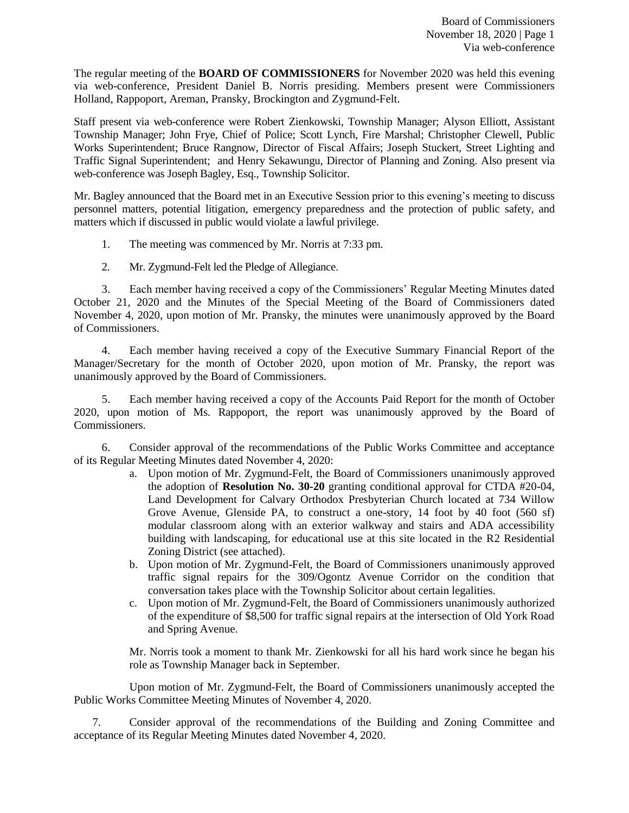The regular meeting of the **BOARD OF COMMISSIONERS** for November 2020 was held this evening via web-conference, President Daniel B. Norris presiding. Members present were Commissioners Holland, Rappoport, Areman, Pransky, Brockington and Zygmund-Felt.

Staff present via web-conference were Robert Zienkowski, Township Manager; Alyson Elliott, Assistant Township Manager; John Frye, Chief of Police; Scott Lynch, Fire Marshal; Christopher Clewell, Public Works Superintendent; Bruce Rangnow, Director of Fiscal Affairs; Joseph Stuckert, Street Lighting and Traffic Signal Superintendent; and Henry Sekawungu, Director of Planning and Zoning. Also present via web-conference was Joseph Bagley, Esq., Township Solicitor.

Mr. Bagley announced that the Board met in an Executive Session prior to this evening's meeting to discuss personnel matters, potential litigation, emergency preparedness and the protection of public safety, and matters which if discussed in public would violate a lawful privilege.

- 1. The meeting was commenced by Mr. Norris at 7:33 pm.
- 2. Mr. Zygmund-Felt led the Pledge of Allegiance.

3. Each member having received a copy of the Commissioners' Regular Meeting Minutes dated October 21, 2020 and the Minutes of the Special Meeting of the Board of Commissioners dated November 4, 2020, upon motion of Mr. Pransky, the minutes were unanimously approved by the Board of Commissioners.

4. Each member having received a copy of the Executive Summary Financial Report of the Manager/Secretary for the month of October 2020, upon motion of Mr. Pransky, the report was unanimously approved by the Board of Commissioners.

5. Each member having received a copy of the Accounts Paid Report for the month of October 2020, upon motion of Ms. Rappoport, the report was unanimously approved by the Board of Commissioners.

6. Consider approval of the recommendations of the Public Works Committee and acceptance of its Regular Meeting Minutes dated November 4, 2020:

- a. Upon motion of Mr. Zygmund-Felt, the Board of Commissioners unanimously approved the adoption of **Resolution No. 30-20** granting conditional approval for CTDA #20-04, Land Development for Calvary Orthodox Presbyterian Church located at 734 Willow Grove Avenue, Glenside PA, to construct a one-story, 14 foot by 40 foot (560 sf) modular classroom along with an exterior walkway and stairs and ADA accessibility building with landscaping, for educational use at this site located in the R2 Residential Zoning District (see attached).
- b. Upon motion of Mr. Zygmund-Felt, the Board of Commissioners unanimously approved traffic signal repairs for the 309/Ogontz Avenue Corridor on the condition that conversation takes place with the Township Solicitor about certain legalities.
- c. Upon motion of Mr. Zygmund-Felt, the Board of Commissioners unanimously authorized of the expenditure of \$8,500 for traffic signal repairs at the intersection of Old York Road and Spring Avenue.

Mr. Norris took a moment to thank Mr. Zienkowski for all his hard work since he began his role as Township Manager back in September.

Upon motion of Mr. Zygmund-Felt, the Board of Commissioners unanimously accepted the Public Works Committee Meeting Minutes of November 4, 2020.

7. Consider approval of the recommendations of the Building and Zoning Committee and acceptance of its Regular Meeting Minutes dated November 4, 2020.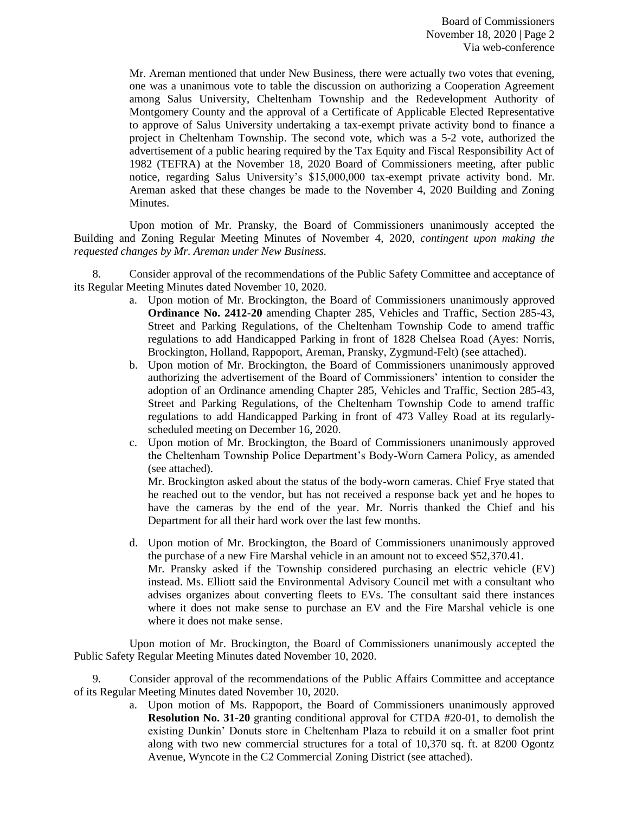Mr. Areman mentioned that under New Business, there were actually two votes that evening, one was a unanimous vote to table the discussion on authorizing a Cooperation Agreement among Salus University, Cheltenham Township and the Redevelopment Authority of Montgomery County and the approval of a Certificate of Applicable Elected Representative to approve of Salus University undertaking a tax-exempt private activity bond to finance a project in Cheltenham Township. The second vote, which was a 5-2 vote, authorized the advertisement of a public hearing required by the Tax Equity and Fiscal Responsibility Act of 1982 (TEFRA) at the November 18, 2020 Board of Commissioners meeting, after public notice, regarding Salus University's \$15,000,000 tax-exempt private activity bond. Mr. Areman asked that these changes be made to the November 4, 2020 Building and Zoning Minutes.

Upon motion of Mr. Pransky, the Board of Commissioners unanimously accepted the Building and Zoning Regular Meeting Minutes of November 4, 2020, *contingent upon making the requested changes by Mr. Areman under New Business.*

8. Consider approval of the recommendations of the Public Safety Committee and acceptance of its Regular Meeting Minutes dated November 10, 2020.

- a. Upon motion of Mr. Brockington, the Board of Commissioners unanimously approved **Ordinance No. 2412-20** amending Chapter 285, Vehicles and Traffic, Section 285-43, Street and Parking Regulations, of the Cheltenham Township Code to amend traffic regulations to add Handicapped Parking in front of 1828 Chelsea Road (Ayes: Norris, Brockington, Holland, Rappoport, Areman, Pransky, Zygmund-Felt) (see attached).
- b. Upon motion of Mr. Brockington, the Board of Commissioners unanimously approved authorizing the advertisement of the Board of Commissioners' intention to consider the adoption of an Ordinance amending Chapter 285, Vehicles and Traffic, Section 285-43, Street and Parking Regulations, of the Cheltenham Township Code to amend traffic regulations to add Handicapped Parking in front of 473 Valley Road at its regularlyscheduled meeting on December 16, 2020.
- c. Upon motion of Mr. Brockington, the Board of Commissioners unanimously approved the Cheltenham Township Police Department's Body-Worn Camera Policy, as amended (see attached).

Mr. Brockington asked about the status of the body-worn cameras. Chief Frye stated that he reached out to the vendor, but has not received a response back yet and he hopes to have the cameras by the end of the year. Mr. Norris thanked the Chief and his Department for all their hard work over the last few months.

d. Upon motion of Mr. Brockington, the Board of Commissioners unanimously approved the purchase of a new Fire Marshal vehicle in an amount not to exceed \$52,370.41. Mr. Pransky asked if the Township considered purchasing an electric vehicle (EV) instead. Ms. Elliott said the Environmental Advisory Council met with a consultant who advises organizes about converting fleets to EVs. The consultant said there instances where it does not make sense to purchase an EV and the Fire Marshal vehicle is one where it does not make sense.

Upon motion of Mr. Brockington, the Board of Commissioners unanimously accepted the Public Safety Regular Meeting Minutes dated November 10, 2020.

9. Consider approval of the recommendations of the Public Affairs Committee and acceptance of its Regular Meeting Minutes dated November 10, 2020.

> a. Upon motion of Ms. Rappoport, the Board of Commissioners unanimously approved **Resolution No. 31-20** granting conditional approval for CTDA #20-01, to demolish the existing Dunkin' Donuts store in Cheltenham Plaza to rebuild it on a smaller foot print along with two new commercial structures for a total of 10,370 sq. ft. at 8200 Ogontz Avenue, Wyncote in the C2 Commercial Zoning District (see attached).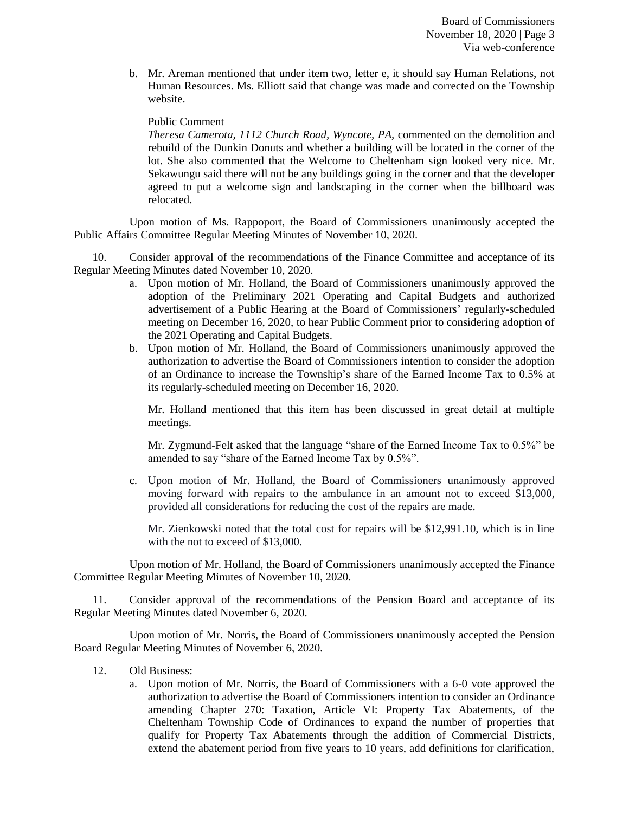Board of Commissioners November 18, 2020 | Page 3 Via web-conference

b. Mr. Areman mentioned that under item two, letter e, it should say Human Relations, not Human Resources. Ms. Elliott said that change was made and corrected on the Township website.

#### Public Comment

*Theresa Camerota, 1112 Church Road, Wyncote, PA,* commented on the demolition and rebuild of the Dunkin Donuts and whether a building will be located in the corner of the lot. She also commented that the Welcome to Cheltenham sign looked very nice. Mr. Sekawungu said there will not be any buildings going in the corner and that the developer agreed to put a welcome sign and landscaping in the corner when the billboard was relocated.

Upon motion of Ms. Rappoport, the Board of Commissioners unanimously accepted the Public Affairs Committee Regular Meeting Minutes of November 10, 2020.

10. Consider approval of the recommendations of the Finance Committee and acceptance of its Regular Meeting Minutes dated November 10, 2020.

- a. Upon motion of Mr. Holland, the Board of Commissioners unanimously approved the adoption of the Preliminary 2021 Operating and Capital Budgets and authorized advertisement of a Public Hearing at the Board of Commissioners' regularly-scheduled meeting on December 16, 2020, to hear Public Comment prior to considering adoption of the 2021 Operating and Capital Budgets.
- b. Upon motion of Mr. Holland, the Board of Commissioners unanimously approved the authorization to advertise the Board of Commissioners intention to consider the adoption of an Ordinance to increase the Township's share of the Earned Income Tax to 0.5% at its regularly-scheduled meeting on December 16, 2020.

Mr. Holland mentioned that this item has been discussed in great detail at multiple meetings.

Mr. Zygmund-Felt asked that the language "share of the Earned Income Tax to 0.5%" be amended to say "share of the Earned Income Tax by 0.5%".

c. Upon motion of Mr. Holland, the Board of Commissioners unanimously approved moving forward with repairs to the ambulance in an amount not to exceed \$13,000, provided all considerations for reducing the cost of the repairs are made.

Mr. Zienkowski noted that the total cost for repairs will be \$12,991.10, which is in line with the not to exceed of \$13,000.

Upon motion of Mr. Holland, the Board of Commissioners unanimously accepted the Finance Committee Regular Meeting Minutes of November 10, 2020.

11. Consider approval of the recommendations of the Pension Board and acceptance of its Regular Meeting Minutes dated November 6, 2020.

Upon motion of Mr. Norris, the Board of Commissioners unanimously accepted the Pension Board Regular Meeting Minutes of November 6, 2020.

- 12. Old Business:
	- a. Upon motion of Mr. Norris, the Board of Commissioners with a 6-0 vote approved the authorization to advertise the Board of Commissioners intention to consider an Ordinance amending Chapter 270: Taxation, Article VI: Property Tax Abatements, of the Cheltenham Township Code of Ordinances to expand the number of properties that qualify for Property Tax Abatements through the addition of Commercial Districts, extend the abatement period from five years to 10 years, add definitions for clarification,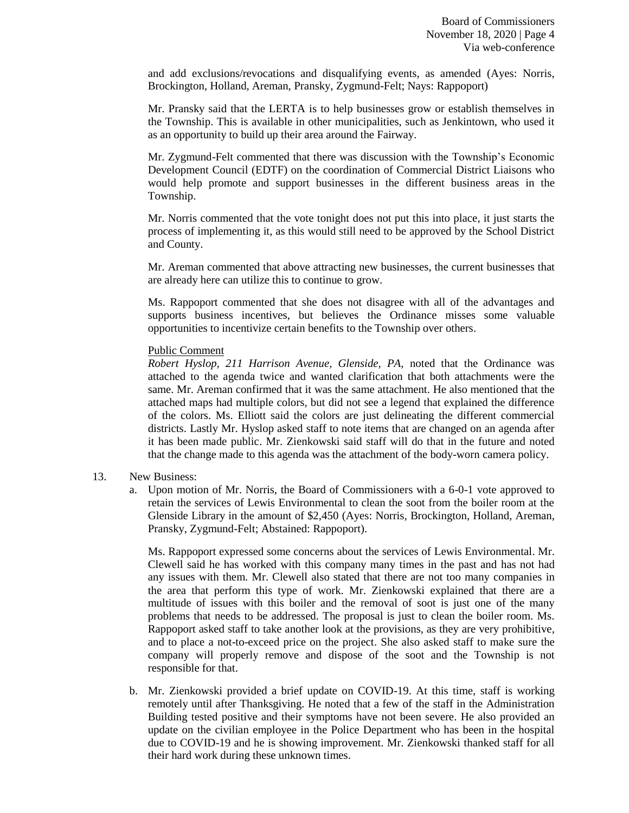and add exclusions/revocations and disqualifying events, as amended (Ayes: Norris, Brockington, Holland, Areman, Pransky, Zygmund-Felt; Nays: Rappoport)

Mr. Pransky said that the LERTA is to help businesses grow or establish themselves in the Township. This is available in other municipalities, such as Jenkintown, who used it as an opportunity to build up their area around the Fairway.

Mr. Zygmund-Felt commented that there was discussion with the Township's Economic Development Council (EDTF) on the coordination of Commercial District Liaisons who would help promote and support businesses in the different business areas in the Township.

Mr. Norris commented that the vote tonight does not put this into place, it just starts the process of implementing it, as this would still need to be approved by the School District and County.

Mr. Areman commented that above attracting new businesses, the current businesses that are already here can utilize this to continue to grow.

Ms. Rappoport commented that she does not disagree with all of the advantages and supports business incentives, but believes the Ordinance misses some valuable opportunities to incentivize certain benefits to the Township over others.

#### Public Comment

*Robert Hyslop, 211 Harrison Avenue, Glenside, PA,* noted that the Ordinance was attached to the agenda twice and wanted clarification that both attachments were the same. Mr. Areman confirmed that it was the same attachment. He also mentioned that the attached maps had multiple colors, but did not see a legend that explained the difference of the colors. Ms. Elliott said the colors are just delineating the different commercial districts. Lastly Mr. Hyslop asked staff to note items that are changed on an agenda after it has been made public. Mr. Zienkowski said staff will do that in the future and noted that the change made to this agenda was the attachment of the body-worn camera policy.

#### 13. New Business:

a. Upon motion of Mr. Norris, the Board of Commissioners with a 6-0-1 vote approved to retain the services of Lewis Environmental to clean the soot from the boiler room at the Glenside Library in the amount of \$2,450 (Ayes: Norris, Brockington, Holland, Areman, Pransky, Zygmund-Felt; Abstained: Rappoport).

Ms. Rappoport expressed some concerns about the services of Lewis Environmental. Mr. Clewell said he has worked with this company many times in the past and has not had any issues with them. Mr. Clewell also stated that there are not too many companies in the area that perform this type of work. Mr. Zienkowski explained that there are a multitude of issues with this boiler and the removal of soot is just one of the many problems that needs to be addressed. The proposal is just to clean the boiler room. Ms. Rappoport asked staff to take another look at the provisions, as they are very prohibitive, and to place a not-to-exceed price on the project. She also asked staff to make sure the company will properly remove and dispose of the soot and the Township is not responsible for that.

b. Mr. Zienkowski provided a brief update on COVID-19. At this time, staff is working remotely until after Thanksgiving. He noted that a few of the staff in the Administration Building tested positive and their symptoms have not been severe. He also provided an update on the civilian employee in the Police Department who has been in the hospital due to COVID-19 and he is showing improvement. Mr. Zienkowski thanked staff for all their hard work during these unknown times.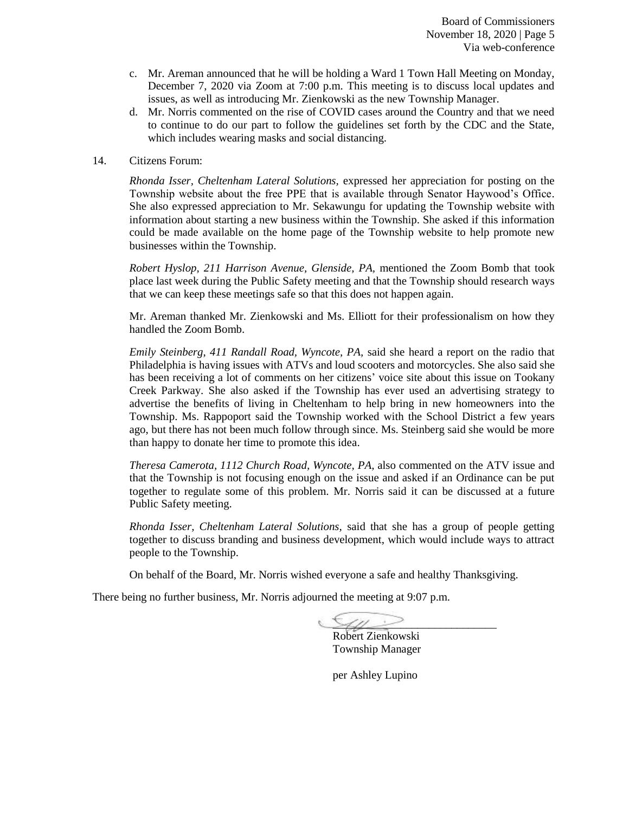- c. Mr. Areman announced that he will be holding a Ward 1 Town Hall Meeting on Monday, December 7, 2020 via Zoom at 7:00 p.m. This meeting is to discuss local updates and issues, as well as introducing Mr. Zienkowski as the new Township Manager.
- d. Mr. Norris commented on the rise of COVID cases around the Country and that we need to continue to do our part to follow the guidelines set forth by the CDC and the State, which includes wearing masks and social distancing.

#### 14. Citizens Forum:

*Rhonda Isser, Cheltenham Lateral Solutions,* expressed her appreciation for posting on the Township website about the free PPE that is available through Senator Haywood's Office. She also expressed appreciation to Mr. Sekawungu for updating the Township website with information about starting a new business within the Township. She asked if this information could be made available on the home page of the Township website to help promote new businesses within the Township.

*Robert Hyslop, 211 Harrison Avenue, Glenside, PA,* mentioned the Zoom Bomb that took place last week during the Public Safety meeting and that the Township should research ways that we can keep these meetings safe so that this does not happen again.

Mr. Areman thanked Mr. Zienkowski and Ms. Elliott for their professionalism on how they handled the Zoom Bomb.

*Emily Steinberg*, *411 Randall Road, Wyncote, PA,* said she heard a report on the radio that Philadelphia is having issues with ATVs and loud scooters and motorcycles. She also said she has been receiving a lot of comments on her citizens' voice site about this issue on Tookany Creek Parkway. She also asked if the Township has ever used an advertising strategy to advertise the benefits of living in Cheltenham to help bring in new homeowners into the Township. Ms. Rappoport said the Township worked with the School District a few years ago, but there has not been much follow through since. Ms. Steinberg said she would be more than happy to donate her time to promote this idea.

*Theresa Camerota, 1112 Church Road, Wyncote, PA,* also commented on the ATV issue and that the Township is not focusing enough on the issue and asked if an Ordinance can be put together to regulate some of this problem. Mr. Norris said it can be discussed at a future Public Safety meeting.

*Rhonda Isser, Cheltenham Lateral Solutions,* said that she has a group of people getting together to discuss branding and business development, which would include ways to attract people to the Township.

On behalf of the Board, Mr. Norris wished everyone a safe and healthy Thanksgiving.

There being no further business, Mr. Norris adjourned the meeting at 9:07 p.m.

 $\epsilon$ 

Robert Zienkowski Township Manager

per Ashley Lupino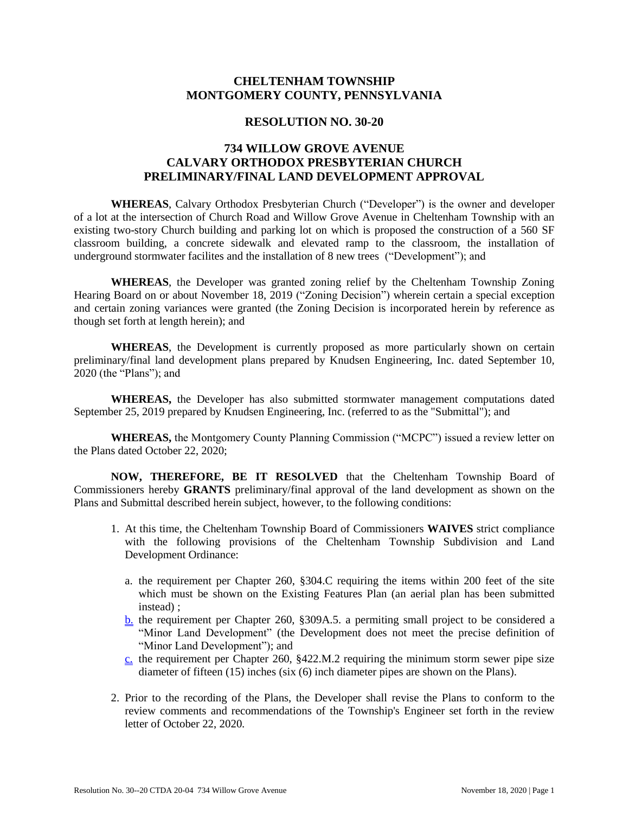# **CHELTENHAM TOWNSHIP MONTGOMERY COUNTY, PENNSYLVANIA**

#### **RESOLUTION NO. 30-20**

# **734 WILLOW GROVE AVENUE CALVARY ORTHODOX PRESBYTERIAN CHURCH PRELIMINARY/FINAL LAND DEVELOPMENT APPROVAL**

**WHEREAS**, Calvary Orthodox Presbyterian Church ("Developer") is the owner and developer of a lot at the intersection of Church Road and Willow Grove Avenue in Cheltenham Township with an existing two-story Church building and parking lot on which is proposed the construction of a 560 SF classroom building, a concrete sidewalk and elevated ramp to the classroom, the installation of underground stormwater facilites and the installation of 8 new trees ("Development"); and

**WHEREAS**, the Developer was granted zoning relief by the Cheltenham Township Zoning Hearing Board on or about November 18, 2019 ("Zoning Decision") wherein certain a special exception and certain zoning variances were granted (the Zoning Decision is incorporated herein by reference as though set forth at length herein); and

**WHEREAS**, the Development is currently proposed as more particularly shown on certain preliminary/final land development plans prepared by Knudsen Engineering, Inc. dated September 10, 2020 (the "Plans"); and

**WHEREAS,** the Developer has also submitted stormwater management computations dated September 25, 2019 prepared by Knudsen Engineering, Inc. (referred to as the "Submittal"); and

**WHEREAS,** the Montgomery County Planning Commission ("MCPC") issued a review letter on the Plans dated October 22, 2020;

**NOW, THEREFORE, BE IT RESOLVED** that the Cheltenham Township Board of Commissioners hereby **GRANTS** preliminary/final approval of the land development as shown on the Plans and Submittal described herein subject, however, to the following conditions:

- 1. At this time, the Cheltenham Township Board of Commissioners **WAIVES** strict compliance with the following provisions of the Cheltenham Township Subdivision and Land Development Ordinance:
	- a. the requirement per Chapter 260, §304.C requiring the items within 200 feet of the site which must be shown on the Existing Features Plan (an aerial plan has been submitted instead) ;
	- b. the requirement per Chapter 260, §309A.5. a permiting small project to be considered a "Minor Land Development" (the Development does not meet the precise definition of "Minor Land Development"); and
	- $c$ . the requirement per Chapter 260, §422.M.2 requiring the minimum storm sewer pipe size diameter of fifteen (15) inches (six (6) inch diameter pipes are shown on the Plans).
- 2. Prior to the recording of the Plans, the Developer shall revise the Plans to conform to the review comments and recommendations of the Township's Engineer set forth in the review letter of October 22, 2020.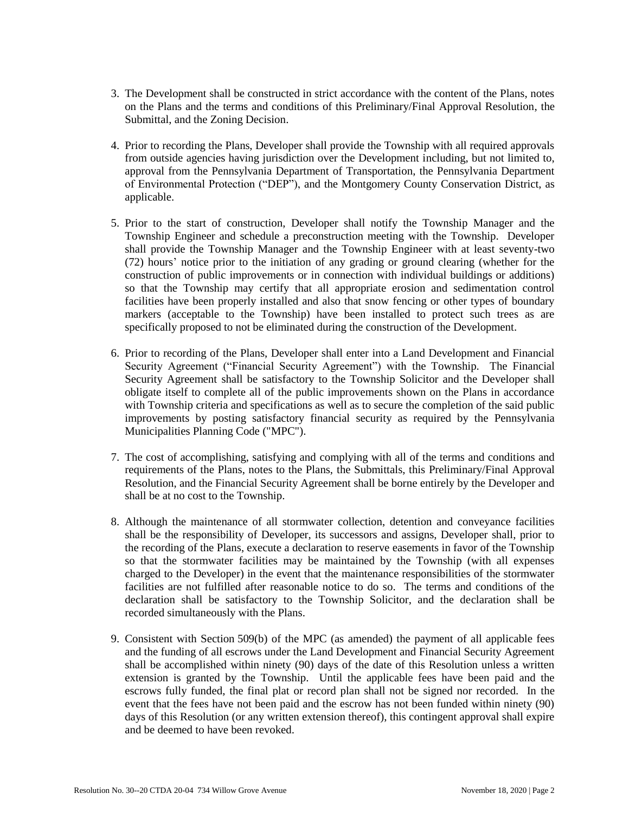- 3. The Development shall be constructed in strict accordance with the content of the Plans, notes on the Plans and the terms and conditions of this Preliminary/Final Approval Resolution, the Submittal, and the Zoning Decision.
- 4. Prior to recording the Plans, Developer shall provide the Township with all required approvals from outside agencies having jurisdiction over the Development including, but not limited to, approval from the Pennsylvania Department of Transportation, the Pennsylvania Department of Environmental Protection ("DEP"), and the Montgomery County Conservation District, as applicable.
- 5. Prior to the start of construction, Developer shall notify the Township Manager and the Township Engineer and schedule a preconstruction meeting with the Township. Developer shall provide the Township Manager and the Township Engineer with at least seventy-two (72) hours' notice prior to the initiation of any grading or ground clearing (whether for the construction of public improvements or in connection with individual buildings or additions) so that the Township may certify that all appropriate erosion and sedimentation control facilities have been properly installed and also that snow fencing or other types of boundary markers (acceptable to the Township) have been installed to protect such trees as are specifically proposed to not be eliminated during the construction of the Development.
- 6. Prior to recording of the Plans, Developer shall enter into a Land Development and Financial Security Agreement ("Financial Security Agreement") with the Township. The Financial Security Agreement shall be satisfactory to the Township Solicitor and the Developer shall obligate itself to complete all of the public improvements shown on the Plans in accordance with Township criteria and specifications as well as to secure the completion of the said public improvements by posting satisfactory financial security as required by the Pennsylvania Municipalities Planning Code ("MPC").
- 7. The cost of accomplishing, satisfying and complying with all of the terms and conditions and requirements of the Plans, notes to the Plans, the Submittals, this Preliminary/Final Approval Resolution, and the Financial Security Agreement shall be borne entirely by the Developer and shall be at no cost to the Township.
- 8. Although the maintenance of all stormwater collection, detention and conveyance facilities shall be the responsibility of Developer, its successors and assigns, Developer shall, prior to the recording of the Plans, execute a declaration to reserve easements in favor of the Township so that the stormwater facilities may be maintained by the Township (with all expenses charged to the Developer) in the event that the maintenance responsibilities of the stormwater facilities are not fulfilled after reasonable notice to do so. The terms and conditions of the declaration shall be satisfactory to the Township Solicitor, and the declaration shall be recorded simultaneously with the Plans.
- 9. Consistent with Section 509(b) of the MPC (as amended) the payment of all applicable fees and the funding of all escrows under the Land Development and Financial Security Agreement shall be accomplished within ninety (90) days of the date of this Resolution unless a written extension is granted by the Township. Until the applicable fees have been paid and the escrows fully funded, the final plat or record plan shall not be signed nor recorded. In the event that the fees have not been paid and the escrow has not been funded within ninety (90) days of this Resolution (or any written extension thereof), this contingent approval shall expire and be deemed to have been revoked.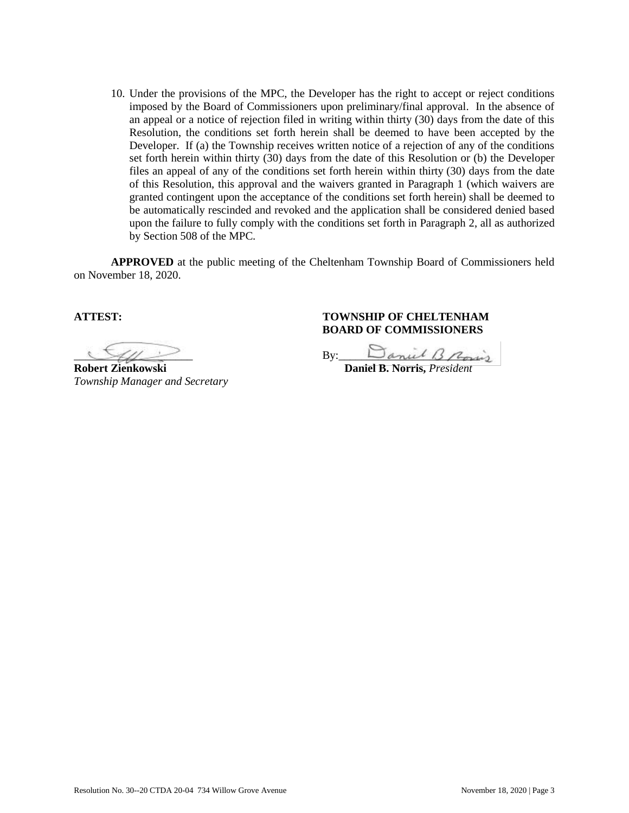10. Under the provisions of the MPC, the Developer has the right to accept or reject conditions imposed by the Board of Commissioners upon preliminary/final approval. In the absence of an appeal or a notice of rejection filed in writing within thirty (30) days from the date of this Resolution, the conditions set forth herein shall be deemed to have been accepted by the Developer. If (a) the Township receives written notice of a rejection of any of the conditions set forth herein within thirty (30) days from the date of this Resolution or (b) the Developer files an appeal of any of the conditions set forth herein within thirty (30) days from the date of this Resolution, this approval and the waivers granted in Paragraph 1 (which waivers are granted contingent upon the acceptance of the conditions set forth herein) shall be deemed to be automatically rescinded and revoked and the application shall be considered denied based upon the failure to fully comply with the conditions set forth in Paragraph 2, all as authorized by Section 508 of the MPC.

**APPROVED** at the public meeting of the Cheltenham Township Board of Commissioners held on November 18, 2020.

**Robert Zienkowski Daniel B. Norris,** *President Township Manager and Secretary* 

## **ATTEST: TOWNSHIP OF CHELTENHAM BOARD OF COMMISSIONERS**

 $By:$  By:  $\Box$  anul  $\Box$  Pon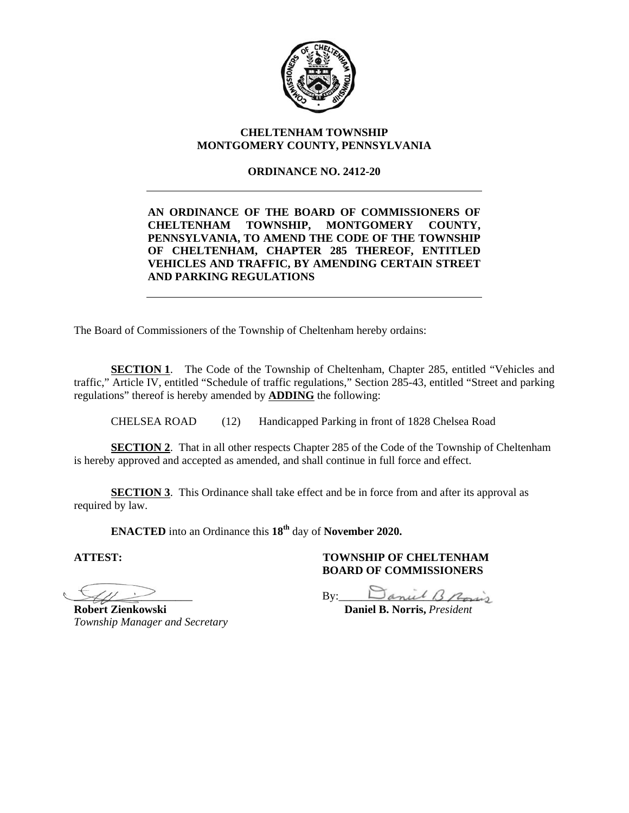

## **CHELTENHAM TOWNSHIP MONTGOMERY COUNTY, PENNSYLVANIA**

## **ORDINANCE NO. 2412-20**

# **AN ORDINANCE OF THE BOARD OF COMMISSIONERS OF CHELTENHAM TOWNSHIP, MONTGOMERY COUNTY, PENNSYLVANIA, TO AMEND THE CODE OF THE TOWNSHIP OF CHELTENHAM, CHAPTER 285 THEREOF, ENTITLED VEHICLES AND TRAFFIC, BY AMENDING CERTAIN STREET AND PARKING REGULATIONS**

The Board of Commissioners of the Township of Cheltenham hereby ordains:

**SECTION 1.** The Code of the Township of Cheltenham, Chapter 285, entitled "Vehicles and traffic," Article IV, entitled "Schedule of traffic regulations," Section 285-43, entitled "Street and parking regulations" thereof is hereby amended by **ADDING** the following:

CHELSEA ROAD (12) Handicapped Parking in front of 1828 Chelsea Road

**SECTION 2.** That in all other respects Chapter 285 of the Code of the Township of Cheltenham is hereby approved and accepted as amended, and shall continue in full force and effect.

**SECTION 3.** This Ordinance shall take effect and be in force from and after its approval as required by law.

**ENACTED** into an Ordinance this **18th** day of **November 2020.**

**ATTEST: TOWNSHIP OF CHELTENHAM** 

*Township Manager and Secretary* 

# **BOARD OF COMMISSIONERS**

 $By: \begin{array}{|l|} \hline \text{By:} & \text{Zanil} \; \text{B.} \end{array}$ 

**Robert Zienkowski Daniel B. Norris,** *President*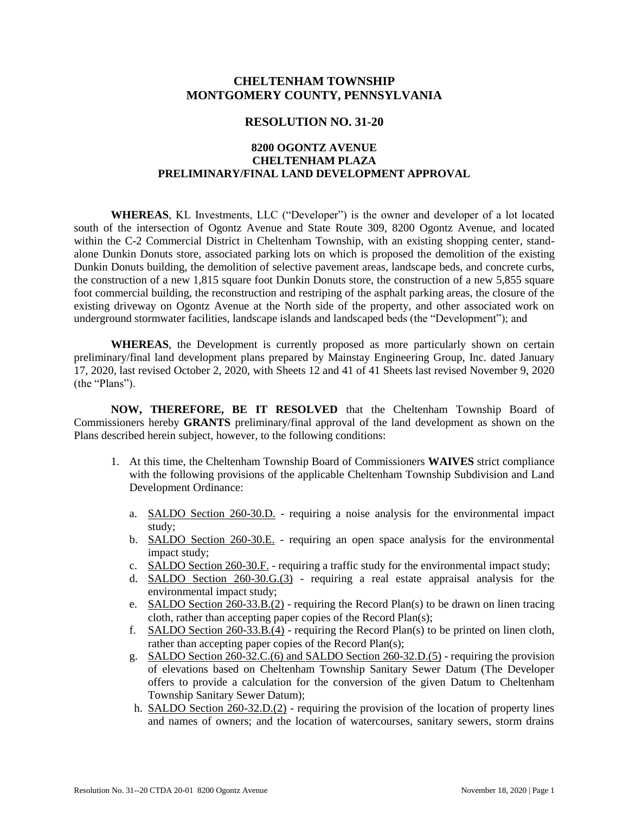# **CHELTENHAM TOWNSHIP MONTGOMERY COUNTY, PENNSYLVANIA**

#### **RESOLUTION NO. 31-20**

### **8200 OGONTZ AVENUE CHELTENHAM PLAZA PRELIMINARY/FINAL LAND DEVELOPMENT APPROVAL**

**WHEREAS**, KL Investments, LLC ("Developer") is the owner and developer of a lot located south of the intersection of Ogontz Avenue and State Route 309, 8200 Ogontz Avenue, and located within the C-2 Commercial District in Cheltenham Township, with an existing shopping center, standalone Dunkin Donuts store, associated parking lots on which is proposed the demolition of the existing Dunkin Donuts building, the demolition of selective pavement areas, landscape beds, and concrete curbs, the construction of a new 1,815 square foot Dunkin Donuts store, the construction of a new 5,855 square foot commercial building, the reconstruction and restriping of the asphalt parking areas, the closure of the existing driveway on Ogontz Avenue at the North side of the property, and other associated work on underground stormwater facilities, landscape islands and landscaped beds (the "Development"); and

**WHEREAS**, the Development is currently proposed as more particularly shown on certain preliminary/final land development plans prepared by Mainstay Engineering Group, Inc. dated January 17, 2020, last revised October 2, 2020, with Sheets 12 and 41 of 41 Sheets last revised November 9, 2020 (the "Plans").

**NOW, THEREFORE, BE IT RESOLVED** that the Cheltenham Township Board of Commissioners hereby **GRANTS** preliminary/final approval of the land development as shown on the Plans described herein subject, however, to the following conditions:

- 1. At this time, the Cheltenham Township Board of Commissioners **WAIVES** strict compliance with the following provisions of the applicable Cheltenham Township Subdivision and Land Development Ordinance:
	- a. SALDO Section 260-30.D. requiring a noise analysis for the environmental impact study;
	- b. SALDO Section 260-30.E. requiring an open space analysis for the environmental impact study;
	- c. SALDO Section 260-30.F. requiring a traffic study for the environmental impact study;
	- d. SALDO Section 260-30.G.(3) requiring a real estate appraisal analysis for the environmental impact study;
	- e. SALDO Section 260-33.B.(2) requiring the Record Plan(s) to be drawn on linen tracing cloth, rather than accepting paper copies of the Record Plan(s);
	- f. SALDO Section 260-33.B.(4) requiring the Record Plan(s) to be printed on linen cloth, rather than accepting paper copies of the Record Plan(s);
	- g. SALDO Section 260-32.C.(6) and SALDO Section 260-32.D.(5) requiring the provision of elevations based on Cheltenham Township Sanitary Sewer Datum (The Developer offers to provide a calculation for the conversion of the given Datum to Cheltenham Township Sanitary Sewer Datum);
	- h. SALDO Section 260-32.D.(2) requiring the provision of the location of property lines and names of owners; and the location of watercourses, sanitary sewers, storm drains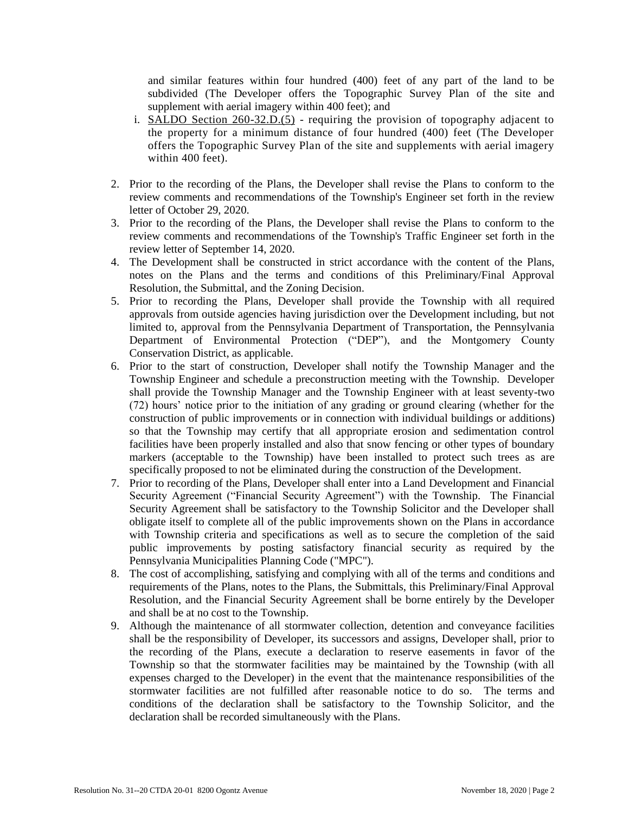and similar features within four hundred (400) feet of any part of the land to be subdivided (The Developer offers the Topographic Survey Plan of the site and supplement with aerial imagery within 400 feet); and

- i. SALDO Section 260-32.D.(5) requiring the provision of topography adjacent to the property for a minimum distance of four hundred (400) feet (The Developer offers the Topographic Survey Plan of the site and supplements with aerial imagery within 400 feet).
- 2. Prior to the recording of the Plans, the Developer shall revise the Plans to conform to the review comments and recommendations of the Township's Engineer set forth in the review letter of October 29, 2020.
- 3. Prior to the recording of the Plans, the Developer shall revise the Plans to conform to the review comments and recommendations of the Township's Traffic Engineer set forth in the review letter of September 14, 2020.
- 4. The Development shall be constructed in strict accordance with the content of the Plans, notes on the Plans and the terms and conditions of this Preliminary/Final Approval Resolution, the Submittal, and the Zoning Decision.
- 5. Prior to recording the Plans, Developer shall provide the Township with all required approvals from outside agencies having jurisdiction over the Development including, but not limited to, approval from the Pennsylvania Department of Transportation, the Pennsylvania Department of Environmental Protection ("DEP"), and the Montgomery County Conservation District, as applicable.
- 6. Prior to the start of construction, Developer shall notify the Township Manager and the Township Engineer and schedule a preconstruction meeting with the Township. Developer shall provide the Township Manager and the Township Engineer with at least seventy-two (72) hours' notice prior to the initiation of any grading or ground clearing (whether for the construction of public improvements or in connection with individual buildings or additions) so that the Township may certify that all appropriate erosion and sedimentation control facilities have been properly installed and also that snow fencing or other types of boundary markers (acceptable to the Township) have been installed to protect such trees as are specifically proposed to not be eliminated during the construction of the Development.
- 7. Prior to recording of the Plans, Developer shall enter into a Land Development and Financial Security Agreement ("Financial Security Agreement") with the Township. The Financial Security Agreement shall be satisfactory to the Township Solicitor and the Developer shall obligate itself to complete all of the public improvements shown on the Plans in accordance with Township criteria and specifications as well as to secure the completion of the said public improvements by posting satisfactory financial security as required by the Pennsylvania Municipalities Planning Code ("MPC").
- 8. The cost of accomplishing, satisfying and complying with all of the terms and conditions and requirements of the Plans, notes to the Plans, the Submittals, this Preliminary/Final Approval Resolution, and the Financial Security Agreement shall be borne entirely by the Developer and shall be at no cost to the Township.
- 9. Although the maintenance of all stormwater collection, detention and conveyance facilities shall be the responsibility of Developer, its successors and assigns, Developer shall, prior to the recording of the Plans, execute a declaration to reserve easements in favor of the Township so that the stormwater facilities may be maintained by the Township (with all expenses charged to the Developer) in the event that the maintenance responsibilities of the stormwater facilities are not fulfilled after reasonable notice to do so. The terms and conditions of the declaration shall be satisfactory to the Township Solicitor, and the declaration shall be recorded simultaneously with the Plans.